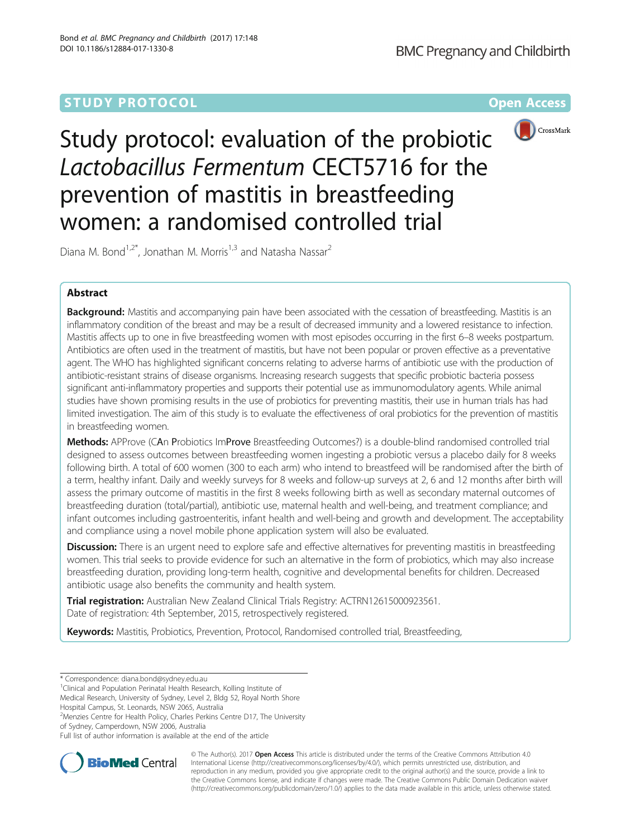# **STUDY PROTOCOL CONSUMING THE RESERVE ACCESS**



Study protocol: evaluation of the probiotic Lactobacillus Fermentum CECT5716 for the prevention of mastitis in breastfeeding women: a randomised controlled trial

Diana M. Bond<sup>1,2\*</sup>, Jonathan M. Morris<sup>1,3</sup> and Natasha Nassar<sup>2</sup>

## Abstract

Background: Mastitis and accompanying pain have been associated with the cessation of breastfeeding. Mastitis is an inflammatory condition of the breast and may be a result of decreased immunity and a lowered resistance to infection. Mastitis affects up to one in five breastfeeding women with most episodes occurring in the first 6–8 weeks postpartum. Antibiotics are often used in the treatment of mastitis, but have not been popular or proven effective as a preventative agent. The WHO has highlighted significant concerns relating to adverse harms of antibiotic use with the production of antibiotic-resistant strains of disease organisms. Increasing research suggests that specific probiotic bacteria possess significant anti-inflammatory properties and supports their potential use as immunomodulatory agents. While animal studies have shown promising results in the use of probiotics for preventing mastitis, their use in human trials has had limited investigation. The aim of this study is to evaluate the effectiveness of oral probiotics for the prevention of mastitis in breastfeeding women.

Methods: APProve (CAn Probiotics ImProve Breastfeeding Outcomes?) is a double-blind randomised controlled trial designed to assess outcomes between breastfeeding women ingesting a probiotic versus a placebo daily for 8 weeks following birth. A total of 600 women (300 to each arm) who intend to breastfeed will be randomised after the birth of a term, healthy infant. Daily and weekly surveys for 8 weeks and follow-up surveys at 2, 6 and 12 months after birth will assess the primary outcome of mastitis in the first 8 weeks following birth as well as secondary maternal outcomes of breastfeeding duration (total/partial), antibiotic use, maternal health and well-being, and treatment compliance; and infant outcomes including gastroenteritis, infant health and well-being and growth and development. The acceptability and compliance using a novel mobile phone application system will also be evaluated.

**Discussion:** There is an urgent need to explore safe and effective alternatives for preventing mastitis in breastfeeding women. This trial seeks to provide evidence for such an alternative in the form of probiotics, which may also increase breastfeeding duration, providing long-term health, cognitive and developmental benefits for children. Decreased antibiotic usage also benefits the community and health system.

Trial registration: Australian New Zealand Clinical Trials Registry: [ACTRN12615000923561.](https://www.anzctr.org.au/Trial/Registration/TrialReview.aspx?id=368922&isReview=true) Date of registration: 4th September, 2015, retrospectively registered.

Keywords: Mastitis, Probiotics, Prevention, Protocol, Randomised controlled trial, Breastfeeding,

Medical Research, University of Sydney, Level 2, Bldg 52, Royal North Shore

Hospital Campus, St. Leonards, NSW 2065, Australia <sup>2</sup>Menzies Centre for Health Policy, Charles Perkins Centre D17, The University

of Sydney, Camperdown, NSW 2006, Australia

Full list of author information is available at the end of the article



© The Author(s). 2017 **Open Access** This article is distributed under the terms of the Creative Commons Attribution 4.0 International License [\(http://creativecommons.org/licenses/by/4.0/](http://creativecommons.org/licenses/by/4.0/)), which permits unrestricted use, distribution, and reproduction in any medium, provided you give appropriate credit to the original author(s) and the source, provide a link to the Creative Commons license, and indicate if changes were made. The Creative Commons Public Domain Dedication waiver [\(http://creativecommons.org/publicdomain/zero/1.0/](http://creativecommons.org/publicdomain/zero/1.0/)) applies to the data made available in this article, unless otherwise stated.

<sup>\*</sup> Correspondence: [diana.bond@sydney.edu.au](mailto:diana.bond@sydney.edu.au) <sup>1</sup>

<sup>&</sup>lt;sup>1</sup> Clinical and Population Perinatal Health Research, Kolling Institute of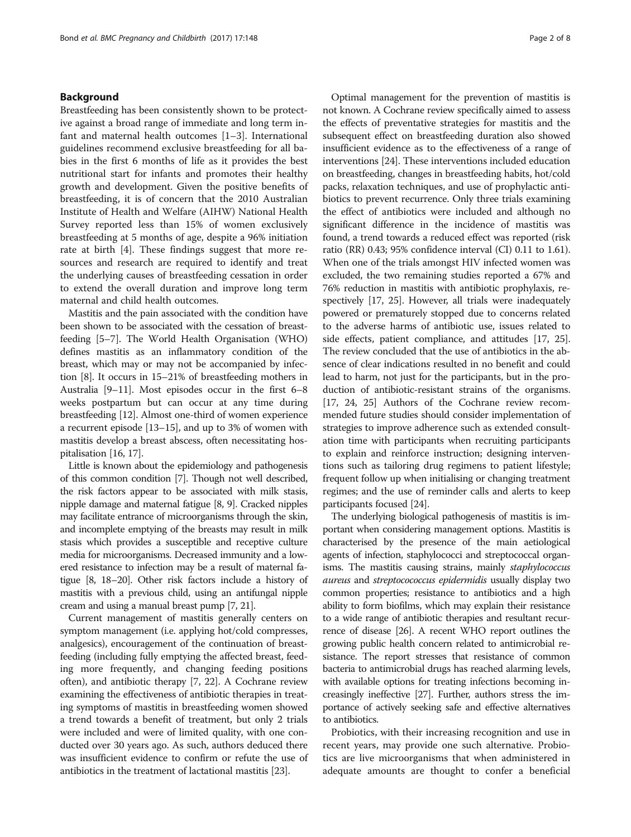### Background

Breastfeeding has been consistently shown to be protective against a broad range of immediate and long term infant and maternal health outcomes [\[1](#page-6-0)–[3](#page-6-0)]. International guidelines recommend exclusive breastfeeding for all babies in the first 6 months of life as it provides the best nutritional start for infants and promotes their healthy growth and development. Given the positive benefits of breastfeeding, it is of concern that the 2010 Australian Institute of Health and Welfare (AIHW) National Health Survey reported less than 15% of women exclusively breastfeeding at 5 months of age, despite a 96% initiation rate at birth [[4\]](#page-7-0). These findings suggest that more resources and research are required to identify and treat the underlying causes of breastfeeding cessation in order to extend the overall duration and improve long term maternal and child health outcomes.

Mastitis and the pain associated with the condition have been shown to be associated with the cessation of breastfeeding [[5](#page-7-0)–[7](#page-7-0)]. The World Health Organisation (WHO) defines mastitis as an inflammatory condition of the breast, which may or may not be accompanied by infection [\[8\]](#page-7-0). It occurs in 15–21% of breastfeeding mothers in Australia [[9](#page-7-0)–[11](#page-7-0)]. Most episodes occur in the first 6–8 weeks postpartum but can occur at any time during breastfeeding [\[12](#page-7-0)]. Almost one-third of women experience a recurrent episode [\[13](#page-7-0)–[15](#page-7-0)], and up to 3% of women with mastitis develop a breast abscess, often necessitating hospitalisation [\[16, 17](#page-7-0)].

Little is known about the epidemiology and pathogenesis of this common condition [\[7\]](#page-7-0). Though not well described, the risk factors appear to be associated with milk stasis, nipple damage and maternal fatigue [[8](#page-7-0), [9](#page-7-0)]. Cracked nipples may facilitate entrance of microorganisms through the skin, and incomplete emptying of the breasts may result in milk stasis which provides a susceptible and receptive culture media for microorganisms. Decreased immunity and a lowered resistance to infection may be a result of maternal fatigue [[8, 18](#page-7-0)–[20](#page-7-0)]. Other risk factors include a history of mastitis with a previous child, using an antifungal nipple cream and using a manual breast pump [[7](#page-7-0), [21](#page-7-0)].

Current management of mastitis generally centers on symptom management (i.e. applying hot/cold compresses, analgesics), encouragement of the continuation of breastfeeding (including fully emptying the affected breast, feeding more frequently, and changing feeding positions often), and antibiotic therapy [[7](#page-7-0), [22\]](#page-7-0). A Cochrane review examining the effectiveness of antibiotic therapies in treating symptoms of mastitis in breastfeeding women showed a trend towards a benefit of treatment, but only 2 trials were included and were of limited quality, with one conducted over 30 years ago. As such, authors deduced there was insufficient evidence to confirm or refute the use of antibiotics in the treatment of lactational mastitis [\[23\]](#page-7-0).

Optimal management for the prevention of mastitis is not known. A Cochrane review specifically aimed to assess the effects of preventative strategies for mastitis and the subsequent effect on breastfeeding duration also showed insufficient evidence as to the effectiveness of a range of interventions [\[24\]](#page-7-0). These interventions included education on breastfeeding, changes in breastfeeding habits, hot/cold packs, relaxation techniques, and use of prophylactic antibiotics to prevent recurrence. Only three trials examining the effect of antibiotics were included and although no significant difference in the incidence of mastitis was found, a trend towards a reduced effect was reported (risk ratio (RR) 0.43; 95% confidence interval (CI) 0.11 to 1.61). When one of the trials amongst HIV infected women was excluded, the two remaining studies reported a 67% and 76% reduction in mastitis with antibiotic prophylaxis, respectively [[17](#page-7-0), [25](#page-7-0)]. However, all trials were inadequately powered or prematurely stopped due to concerns related to the adverse harms of antibiotic use, issues related to side effects, patient compliance, and attitudes [[17](#page-7-0), [25](#page-7-0)]. The review concluded that the use of antibiotics in the absence of clear indications resulted in no benefit and could lead to harm, not just for the participants, but in the production of antibiotic-resistant strains of the organisms. [[17](#page-7-0), [24](#page-7-0), [25\]](#page-7-0) Authors of the Cochrane review recommended future studies should consider implementation of strategies to improve adherence such as extended consultation time with participants when recruiting participants to explain and reinforce instruction; designing interventions such as tailoring drug regimens to patient lifestyle; frequent follow up when initialising or changing treatment regimes; and the use of reminder calls and alerts to keep participants focused [[24](#page-7-0)].

The underlying biological pathogenesis of mastitis is important when considering management options. Mastitis is characterised by the presence of the main aetiological agents of infection, staphylococci and streptococcal organisms. The mastitis causing strains, mainly staphylococcus aureus and streptocococcus epidermidis usually display two common properties; resistance to antibiotics and a high ability to form biofilms, which may explain their resistance to a wide range of antibiotic therapies and resultant recurrence of disease [\[26\]](#page-7-0). A recent WHO report outlines the growing public health concern related to antimicrobial resistance. The report stresses that resistance of common bacteria to antimicrobial drugs has reached alarming levels, with available options for treating infections becoming increasingly ineffective [[27](#page-7-0)]. Further, authors stress the importance of actively seeking safe and effective alternatives to antibiotics.

Probiotics, with their increasing recognition and use in recent years, may provide one such alternative. Probiotics are live microorganisms that when administered in adequate amounts are thought to confer a beneficial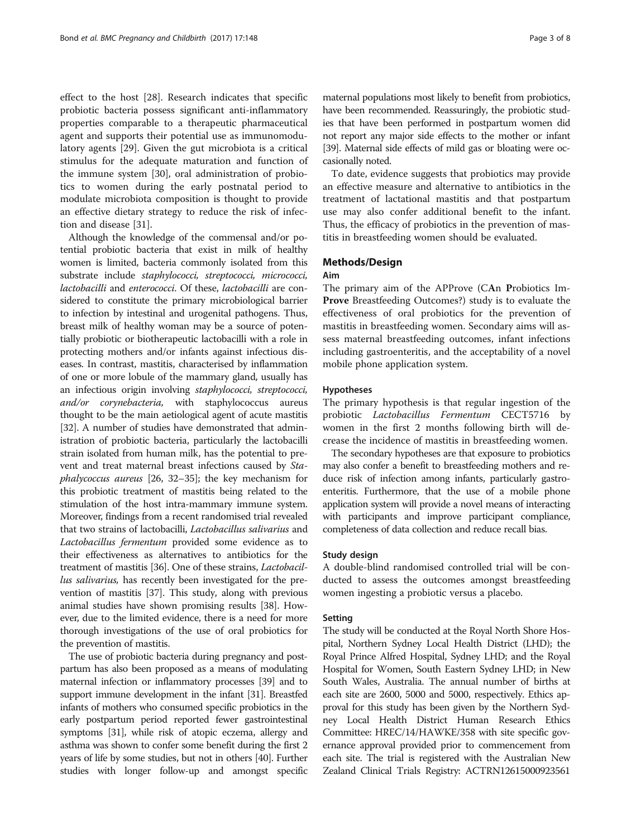effect to the host [[28](#page-7-0)]. Research indicates that specific probiotic bacteria possess significant anti-inflammatory properties comparable to a therapeutic pharmaceutical agent and supports their potential use as immunomodulatory agents [[29](#page-7-0)]. Given the gut microbiota is a critical stimulus for the adequate maturation and function of the immune system [\[30\]](#page-7-0), oral administration of probiotics to women during the early postnatal period to modulate microbiota composition is thought to provide an effective dietary strategy to reduce the risk of infection and disease [[31](#page-7-0)].

Although the knowledge of the commensal and/or potential probiotic bacteria that exist in milk of healthy women is limited, bacteria commonly isolated from this substrate include staphylococci, streptococci, micrococci, lactobacilli and enterococci. Of these, lactobacilli are considered to constitute the primary microbiological barrier to infection by intestinal and urogenital pathogens. Thus, breast milk of healthy woman may be a source of potentially probiotic or biotherapeutic lactobacilli with a role in protecting mothers and/or infants against infectious diseases. In contrast, mastitis, characterised by inflammation of one or more lobule of the mammary gland, usually has an infectious origin involving staphylococci, streptococci, and/or corynebacteria, with staphylococcus aureus thought to be the main aetiological agent of acute mastitis [[32](#page-7-0)]. A number of studies have demonstrated that administration of probiotic bacteria, particularly the lactobacilli strain isolated from human milk, has the potential to prevent and treat maternal breast infections caused by Staphalycoccus aureus [\[26](#page-7-0), [32](#page-7-0)–[35\]](#page-7-0); the key mechanism for this probiotic treatment of mastitis being related to the stimulation of the host intra-mammary immune system. Moreover, findings from a recent randomised trial revealed that two strains of lactobacilli, Lactobacillus salivarius and Lactobacillus fermentum provided some evidence as to their effectiveness as alternatives to antibiotics for the treatment of mastitis [\[36\]](#page-7-0). One of these strains, Lactobacillus salivarius, has recently been investigated for the prevention of mastitis [[37](#page-7-0)]. This study, along with previous animal studies have shown promising results [\[38\]](#page-7-0). However, due to the limited evidence, there is a need for more thorough investigations of the use of oral probiotics for the prevention of mastitis.

The use of probiotic bacteria during pregnancy and postpartum has also been proposed as a means of modulating maternal infection or inflammatory processes [\[39\]](#page-7-0) and to support immune development in the infant [\[31\]](#page-7-0). Breastfed infants of mothers who consumed specific probiotics in the early postpartum period reported fewer gastrointestinal symptoms [[31](#page-7-0)], while risk of atopic eczema, allergy and asthma was shown to confer some benefit during the first 2 years of life by some studies, but not in others [[40](#page-7-0)]. Further studies with longer follow-up and amongst specific

maternal populations most likely to benefit from probiotics, have been recommended. Reassuringly, the probiotic studies that have been performed in postpartum women did not report any major side effects to the mother or infant [[39](#page-7-0)]. Maternal side effects of mild gas or bloating were occasionally noted.

To date, evidence suggests that probiotics may provide an effective measure and alternative to antibiotics in the treatment of lactational mastitis and that postpartum use may also confer additional benefit to the infant. Thus, the efficacy of probiotics in the prevention of mastitis in breastfeeding women should be evaluated.

### Methods/Design

### Aim

The primary aim of the APProve (CAn Probiotics Im-Prove Breastfeeding Outcomes?) study is to evaluate the effectiveness of oral probiotics for the prevention of mastitis in breastfeeding women. Secondary aims will assess maternal breastfeeding outcomes, infant infections including gastroenteritis, and the acceptability of a novel mobile phone application system.

### Hypotheses

The primary hypothesis is that regular ingestion of the probiotic Lactobacillus Fermentum CECT5716 by women in the first 2 months following birth will decrease the incidence of mastitis in breastfeeding women.

The secondary hypotheses are that exposure to probiotics may also confer a benefit to breastfeeding mothers and reduce risk of infection among infants, particularly gastroenteritis. Furthermore, that the use of a mobile phone application system will provide a novel means of interacting with participants and improve participant compliance, completeness of data collection and reduce recall bias.

### Study design

A double-blind randomised controlled trial will be conducted to assess the outcomes amongst breastfeeding women ingesting a probiotic versus a placebo.

#### Setting

The study will be conducted at the Royal North Shore Hospital, Northern Sydney Local Health District (LHD); the Royal Prince Alfred Hospital, Sydney LHD; and the Royal Hospital for Women, South Eastern Sydney LHD; in New South Wales, Australia. The annual number of births at each site are 2600, 5000 and 5000, respectively. Ethics approval for this study has been given by the Northern Sydney Local Health District Human Research Ethics Committee: HREC/14/HAWKE/358 with site specific governance approval provided prior to commencement from each site. The trial is registered with the Australian New Zealand Clinical Trials Registry: ACTRN12615000923561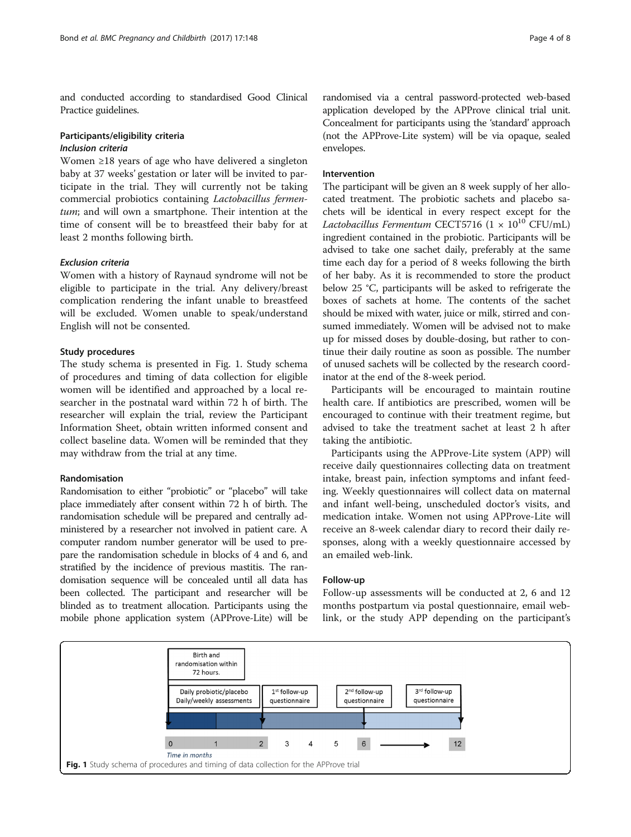and conducted according to standardised Good Clinical Practice guidelines.

### Participants/eligibility criteria Inclusion criteria

Women ≥18 years of age who have delivered a singleton baby at 37 weeks' gestation or later will be invited to participate in the trial. They will currently not be taking commercial probiotics containing Lactobacillus fermentum; and will own a smartphone. Their intention at the time of consent will be to breastfeed their baby for at least 2 months following birth.

### Exclusion criteria

Women with a history of Raynaud syndrome will not be eligible to participate in the trial. Any delivery/breast complication rendering the infant unable to breastfeed will be excluded. Women unable to speak/understand English will not be consented.

### Study procedures

The study schema is presented in Fig. 1. Study schema of procedures and timing of data collection for eligible women will be identified and approached by a local researcher in the postnatal ward within 72 h of birth. The researcher will explain the trial, review the Participant Information Sheet, obtain written informed consent and collect baseline data. Women will be reminded that they may withdraw from the trial at any time.

### Randomisation

Randomisation to either "probiotic" or "placebo" will take place immediately after consent within 72 h of birth. The randomisation schedule will be prepared and centrally administered by a researcher not involved in patient care. A computer random number generator will be used to prepare the randomisation schedule in blocks of 4 and 6, and stratified by the incidence of previous mastitis. The randomisation sequence will be concealed until all data has been collected. The participant and researcher will be blinded as to treatment allocation. Participants using the mobile phone application system (APProve-Lite) will be

randomised via a central password-protected web-based application developed by the APProve clinical trial unit. Concealment for participants using the 'standard' approach (not the APProve-Lite system) will be via opaque, sealed envelopes.

#### Intervention

The participant will be given an 8 week supply of her allocated treatment. The probiotic sachets and placebo sachets will be identical in every respect except for the Lactobacillus Fermentum CECT5716  $(1 \times 10^{10} \text{ CFU/mL})$ ingredient contained in the probiotic. Participants will be advised to take one sachet daily, preferably at the same time each day for a period of 8 weeks following the birth of her baby. As it is recommended to store the product below 25 °C, participants will be asked to refrigerate the boxes of sachets at home. The contents of the sachet should be mixed with water, juice or milk, stirred and consumed immediately. Women will be advised not to make up for missed doses by double-dosing, but rather to continue their daily routine as soon as possible. The number of unused sachets will be collected by the research coordinator at the end of the 8-week period.

Participants will be encouraged to maintain routine health care. If antibiotics are prescribed, women will be encouraged to continue with their treatment regime, but advised to take the treatment sachet at least 2 h after taking the antibiotic.

Participants using the APProve-Lite system (APP) will receive daily questionnaires collecting data on treatment intake, breast pain, infection symptoms and infant feeding. Weekly questionnaires will collect data on maternal and infant well-being, unscheduled doctor's visits, and medication intake. Women not using APProve-Lite will receive an 8-week calendar diary to record their daily responses, along with a weekly questionnaire accessed by an emailed web-link.

#### Follow-up

Follow-up assessments will be conducted at 2, 6 and 12 months postpartum via postal questionnaire, email weblink, or the study APP depending on the participant's

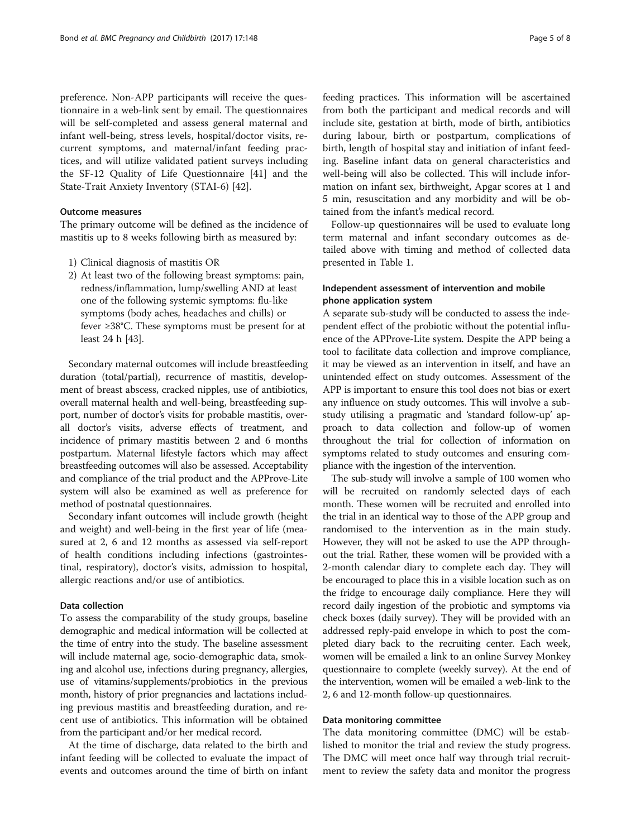preference. Non-APP participants will receive the questionnaire in a web-link sent by email. The questionnaires will be self-completed and assess general maternal and infant well-being, stress levels, hospital/doctor visits, recurrent symptoms, and maternal/infant feeding practices, and will utilize validated patient surveys including the SF-12 Quality of Life Questionnaire [\[41\]](#page-7-0) and the State-Trait Anxiety Inventory (STAI-6) [\[42](#page-7-0)].

### Outcome measures

The primary outcome will be defined as the incidence of mastitis up to 8 weeks following birth as measured by:

- 1) Clinical diagnosis of mastitis OR
- 2) At least two of the following breast symptoms: pain, redness/inflammation, lump/swelling AND at least one of the following systemic symptoms: flu-like symptoms (body aches, headaches and chills) or fever ≥38°C. These symptoms must be present for at least 24 h [\[43\]](#page-7-0).

Secondary maternal outcomes will include breastfeeding duration (total/partial), recurrence of mastitis, development of breast abscess, cracked nipples, use of antibiotics, overall maternal health and well-being, breastfeeding support, number of doctor's visits for probable mastitis, overall doctor's visits, adverse effects of treatment, and incidence of primary mastitis between 2 and 6 months postpartum. Maternal lifestyle factors which may affect breastfeeding outcomes will also be assessed. Acceptability and compliance of the trial product and the APProve-Lite system will also be examined as well as preference for method of postnatal questionnaires.

Secondary infant outcomes will include growth (height and weight) and well-being in the first year of life (measured at 2, 6 and 12 months as assessed via self-report of health conditions including infections (gastrointestinal, respiratory), doctor's visits, admission to hospital, allergic reactions and/or use of antibiotics.

### Data collection

To assess the comparability of the study groups, baseline demographic and medical information will be collected at the time of entry into the study. The baseline assessment will include maternal age, socio-demographic data, smoking and alcohol use, infections during pregnancy, allergies, use of vitamins/supplements/probiotics in the previous month, history of prior pregnancies and lactations including previous mastitis and breastfeeding duration, and recent use of antibiotics. This information will be obtained from the participant and/or her medical record.

At the time of discharge, data related to the birth and infant feeding will be collected to evaluate the impact of events and outcomes around the time of birth on infant feeding practices. This information will be ascertained from both the participant and medical records and will include site, gestation at birth, mode of birth, antibiotics during labour, birth or postpartum, complications of birth, length of hospital stay and initiation of infant feeding. Baseline infant data on general characteristics and well-being will also be collected. This will include information on infant sex, birthweight, Apgar scores at 1 and 5 min, resuscitation and any morbidity and will be obtained from the infant's medical record.

Follow-up questionnaires will be used to evaluate long term maternal and infant secondary outcomes as detailed above with timing and method of collected data presented in Table [1](#page-5-0).

### Independent assessment of intervention and mobile phone application system

A separate sub-study will be conducted to assess the independent effect of the probiotic without the potential influence of the APProve-Lite system. Despite the APP being a tool to facilitate data collection and improve compliance, it may be viewed as an intervention in itself, and have an unintended effect on study outcomes. Assessment of the APP is important to ensure this tool does not bias or exert any influence on study outcomes. This will involve a substudy utilising a pragmatic and 'standard follow-up' approach to data collection and follow-up of women throughout the trial for collection of information on symptoms related to study outcomes and ensuring compliance with the ingestion of the intervention.

The sub-study will involve a sample of 100 women who will be recruited on randomly selected days of each month. These women will be recruited and enrolled into the trial in an identical way to those of the APP group and randomised to the intervention as in the main study. However, they will not be asked to use the APP throughout the trial. Rather, these women will be provided with a 2-month calendar diary to complete each day. They will be encouraged to place this in a visible location such as on the fridge to encourage daily compliance. Here they will record daily ingestion of the probiotic and symptoms via check boxes (daily survey). They will be provided with an addressed reply-paid envelope in which to post the completed diary back to the recruiting center. Each week, women will be emailed a link to an online Survey Monkey questionnaire to complete (weekly survey). At the end of the intervention, women will be emailed a web-link to the 2, 6 and 12-month follow-up questionnaires.

### Data monitoring committee

The data monitoring committee (DMC) will be established to monitor the trial and review the study progress. The DMC will meet once half way through trial recruitment to review the safety data and monitor the progress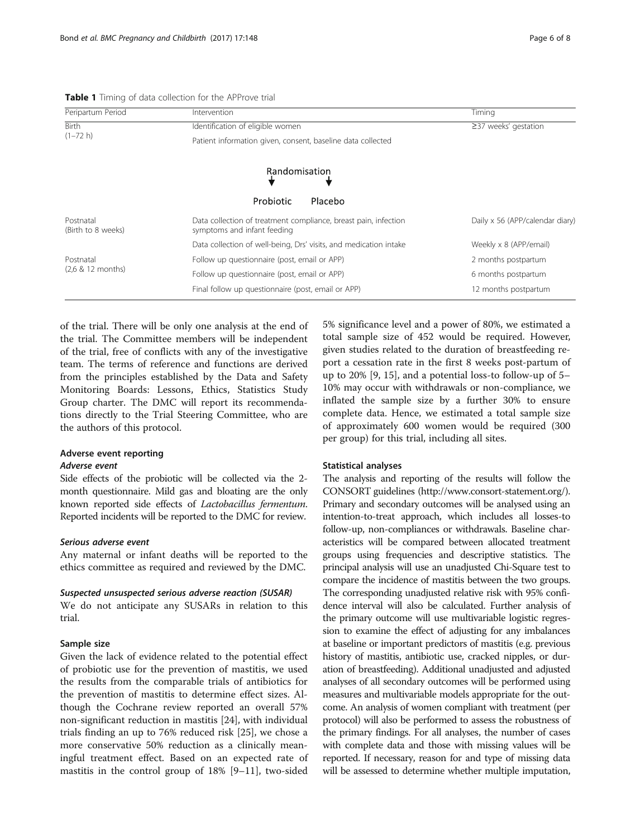<span id="page-5-0"></span>

| Table 1 Timing of data collection for the APProve trial |  |  |  |  |  |  |
|---------------------------------------------------------|--|--|--|--|--|--|
|---------------------------------------------------------|--|--|--|--|--|--|

| Peripartum Period                 | Intervention                                                                                   | Timing                          |  |
|-----------------------------------|------------------------------------------------------------------------------------------------|---------------------------------|--|
| <b>Birth</b>                      | Identification of eligible women                                                               | ≥37 weeks' gestation            |  |
| $(1 - 72 h)$                      | Patient information given, consent, baseline data collected                                    |                                 |  |
|                                   | Randomisation                                                                                  |                                 |  |
|                                   | Probiotic<br>Placebo                                                                           |                                 |  |
| Postnatal<br>(Birth to 8 weeks)   | Data collection of treatment compliance, breast pain, infection<br>symptoms and infant feeding | Daily x 56 (APP/calendar diary) |  |
|                                   | Data collection of well-being, Drs' visits, and medication intake                              | Weekly x 8 (APP/email)          |  |
| Postnatal<br>$(2,6 \& 12$ months) | Follow up questionnaire (post, email or APP)                                                   | 2 months postpartum             |  |
|                                   | Follow up questionnaire (post, email or APP)                                                   | 6 months postpartum             |  |
|                                   | Final follow up questionnaire (post, email or APP)                                             | 12 months postpartum            |  |

of the trial. There will be only one analysis at the end of the trial. The Committee members will be independent of the trial, free of conflicts with any of the investigative team. The terms of reference and functions are derived from the principles established by the Data and Safety Monitoring Boards: Lessons, Ethics, Statistics Study Group charter. The DMC will report its recommendations directly to the Trial Steering Committee, who are the authors of this protocol.

### Adverse event reporting

#### Adverse event

Side effects of the probiotic will be collected via the 2 month questionnaire. Mild gas and bloating are the only known reported side effects of Lactobacillus fermentum. Reported incidents will be reported to the DMC for review.

### Serious adverse event

Any maternal or infant deaths will be reported to the ethics committee as required and reviewed by the DMC.

#### Suspected unsuspected serious adverse reaction (SUSAR)

We do not anticipate any SUSARs in relation to this trial.

### Sample size

Given the lack of evidence related to the potential effect of probiotic use for the prevention of mastitis, we used the results from the comparable trials of antibiotics for the prevention of mastitis to determine effect sizes. Although the Cochrane review reported an overall 57% non-significant reduction in mastitis [[24](#page-7-0)], with individual trials finding an up to 76% reduced risk [\[25\]](#page-7-0), we chose a more conservative 50% reduction as a clinically meaningful treatment effect. Based on an expected rate of mastitis in the control group of 18% [\[9](#page-7-0)–[11](#page-7-0)], two-sided 5% significance level and a power of 80%, we estimated a total sample size of 452 would be required. However, given studies related to the duration of breastfeeding report a cessation rate in the first 8 weeks post-partum of up to 20% [\[9](#page-7-0), [15\]](#page-7-0), and a potential loss-to follow-up of 5– 10% may occur with withdrawals or non-compliance, we inflated the sample size by a further 30% to ensure complete data. Hence, we estimated a total sample size of approximately 600 women would be required (300 per group) for this trial, including all sites.

#### Statistical analyses

The analysis and reporting of the results will follow the CONSORT guidelines [\(http://www.consort-statement.org/](http://www.consort-statement.org/)). Primary and secondary outcomes will be analysed using an intention-to-treat approach, which includes all losses-to follow-up, non-compliances or withdrawals. Baseline characteristics will be compared between allocated treatment groups using frequencies and descriptive statistics. The principal analysis will use an unadjusted Chi-Square test to compare the incidence of mastitis between the two groups. The corresponding unadjusted relative risk with 95% confidence interval will also be calculated. Further analysis of the primary outcome will use multivariable logistic regression to examine the effect of adjusting for any imbalances at baseline or important predictors of mastitis (e.g. previous history of mastitis, antibiotic use, cracked nipples, or duration of breastfeeding). Additional unadjusted and adjusted analyses of all secondary outcomes will be performed using measures and multivariable models appropriate for the outcome. An analysis of women compliant with treatment (per protocol) will also be performed to assess the robustness of the primary findings. For all analyses, the number of cases with complete data and those with missing values will be reported. If necessary, reason for and type of missing data will be assessed to determine whether multiple imputation,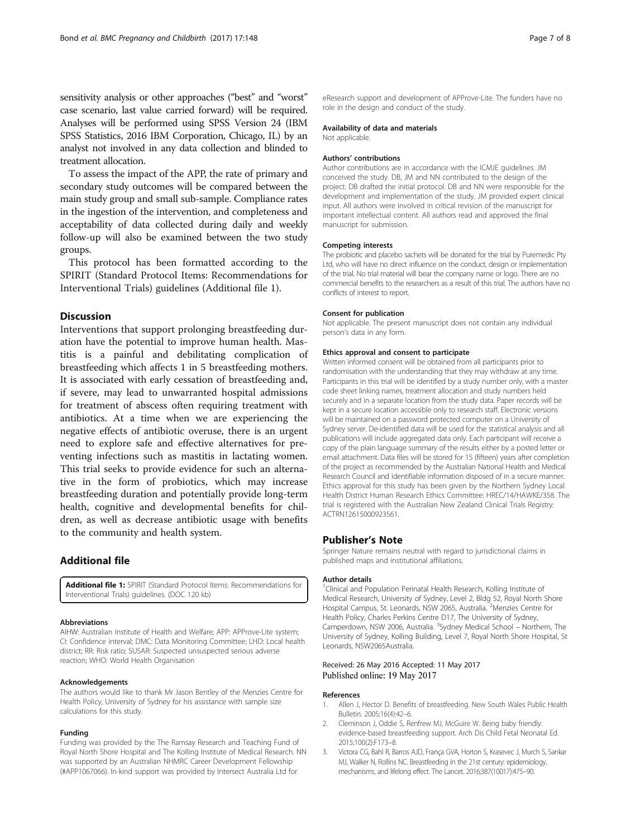<span id="page-6-0"></span>sensitivity analysis or other approaches ("best" and "worst" case scenario, last value carried forward) will be required. Analyses will be performed using SPSS Version 24 (IBM SPSS Statistics, 2016 IBM Corporation, Chicago, IL) by an analyst not involved in any data collection and blinded to treatment allocation.

To assess the impact of the APP, the rate of primary and secondary study outcomes will be compared between the main study group and small sub-sample. Compliance rates in the ingestion of the intervention, and completeness and acceptability of data collected during daily and weekly follow-up will also be examined between the two study groups.

This protocol has been formatted according to the SPIRIT (Standard Protocol Items: Recommendations for Interventional Trials) guidelines (Additional file 1).

### Discussion

Interventions that support prolonging breastfeeding duration have the potential to improve human health. Mastitis is a painful and debilitating complication of breastfeeding which affects 1 in 5 breastfeeding mothers. It is associated with early cessation of breastfeeding and, if severe, may lead to unwarranted hospital admissions for treatment of abscess often requiring treatment with antibiotics. At a time when we are experiencing the negative effects of antibiotic overuse, there is an urgent need to explore safe and effective alternatives for preventing infections such as mastitis in lactating women. This trial seeks to provide evidence for such an alternative in the form of probiotics, which may increase breastfeeding duration and potentially provide long-term health, cognitive and developmental benefits for children, as well as decrease antibiotic usage with benefits to the community and health system.

### Additional file

[Additional file 1:](dx.doi.org/10.1186/s12884-017-1330-8) SPIRIT (Standard Protocol Items: Recommendations for Interventional Trials) guidelines. (DOC 120 kb)

#### Abbreviations

AIHW: Australian Institute of Health and Welfare; APP: APProve-Lite system; CI: Confidence interval; DMC: Data Monitoring Committee; LHD: Local health district; RR: Risk ratio; SUSAR: Suspected unsuspected serious adverse reaction; WHO: World Health Organisation

#### Acknowledgements

The authors would like to thank Mr Jason Bentley of the Menzies Centre for Health Policy, University of Sydney for his assistance with sample size calculations for this study.

#### Funding

Funding was provided by the The Ramsay Research and Teaching Fund of Royal North Shore Hospital and The Kolling Institute of Medical Research. NN was supported by an Australian NHMRC Career Development Fellowship (#APP1067066). In-kind support was provided by Intersect Australia Ltd for

eResearch support and development of APProve-Lite. The funders have no role in the design and conduct of the study.

Availability of data and materials

Not applicable.

#### Authors' contributions

Author contributions are in accordance with the ICMJE guidelines. JM conceived the study. DB, JM and NN contributed to the design of the project. DB drafted the initial protocol. DB and NN were responsible for the development and implementation of the study. JM provided expert clinical input. All authors were involved in critical revision of the manuscript for important intellectual content. All authors read and approved the final manuscript for submission.

#### Competing interests

The probiotic and placebo sachets will be donated for the trial by Puremedic Pty Ltd, who will have no direct influence on the conduct, design or implementation of the trial. No trial material will bear the company name or logo. There are no commercial benefits to the researchers as a result of this trial. The authors have no conflicts of interest to report.

#### Consent for publication

Not applicable. The present manuscript does not contain any individual person's data in any form.

#### Ethics approval and consent to participate

Written informed consent will be obtained from all participants prior to randomisation with the understanding that they may withdraw at any time. Participants in this trial will be identified by a study number only, with a master code sheet linking names, treatment allocation and study numbers held securely and in a separate location from the study data. Paper records will be kept in a secure location accessible only to research staff. Electronic versions will be maintained on a password protected computer on a University of Sydney server. De-identified data will be used for the statistical analysis and all publications will include aggregated data only. Each participant will receive a copy of the plain language summary of the results either by a posted letter or email attachment. Data files will be stored for 15 (fifteen) years after completion of the project as recommended by the Australian National Health and Medical Research Council and identifiable information disposed of in a secure manner. Ethics approval for this study has been given by the Northern Sydney Local Health District Human Research Ethics Committee: HREC/14/HAWKE/358. The trial is registered with the Australian New Zealand Clinical Trials Registry: ACTRN12615000923561.

#### Publisher's Note

Springer Nature remains neutral with regard to jurisdictional claims in published maps and institutional affiliations.

#### Author details

<sup>1</sup>Clinical and Population Perinatal Health Research, Kolling Institute of Medical Research, University of Sydney, Level 2, Bldg 52, Royal North Shore Hospital Campus, St. Leonards, NSW 2065, Australia. <sup>2</sup>Menzies Centre for Health Policy, Charles Perkins Centre D17, The University of Sydney, Camperdown, NSW 2006, Australia. <sup>3</sup>Sydney Medical School - Northern, The University of Sydney, Kolling Building, Level 7, Royal North Shore Hospital, St Leonards, NSW2065Australia.

#### Received: 26 May 2016 Accepted: 11 May 2017 Published online: 19 May 2017

#### References

- 1. Allen J, Hector D. Benefits of breastfeeding. New South Wales Public Health Bulletin. 2005;16(4):42–6.
- 2. Cleminson J, Oddie S, Renfrew MJ, McGuire W. Being baby friendly: evidence-based breastfeeding support. Arch Dis Child Fetal Neonatal Ed. 2015;100(2):F173–8.
- 3. Victora CG, Bahl R, Barros AJD, França GVA, Horton S, Krasevec J, Murch S, Sankar MJ, Walker N, Rollins NC. Breastfeeding in the 21st century: epidemiology, mechanisms, and lifelong effect. The Lancet. 2016;387(10017):475–90.